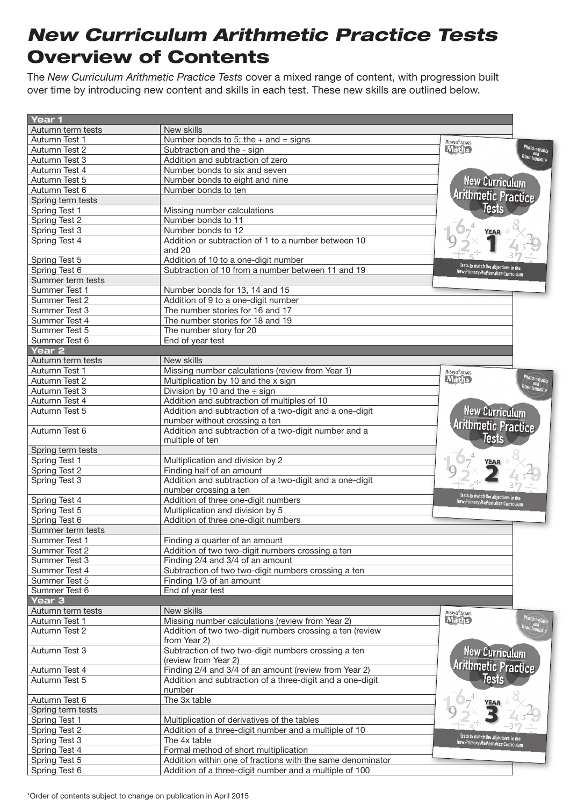## *New Curriculum Arithmetic Practice Tests* Overview of Contents

The *New Curriculum Arithmetic Practice Tests* cover a mixed range of content, with progression built over time by introducing new content and skills in each test. These new skills are outlined below.

| Year <sub>1</sub> |                                                            |                                                                                  |
|-------------------|------------------------------------------------------------|----------------------------------------------------------------------------------|
| Autumn term tests | New skills                                                 |                                                                                  |
| Autumn Test 1     | Number bonds to 5; the $+$ and $=$ signs                   | <b>RISING STARS</b>                                                              |
| Autumn Test 2     | Subtraction and the - sign                                 | Photocopiable<br><b>Maths</b>                                                    |
| Autumn Test 3     | Addition and subtraction of zero                           | ownloadahi <sup>,</sup><br><sup>downloadahi</sup>                                |
| Autumn Test 4     | Number bonds to six and seven                              |                                                                                  |
| Autumn Test 5     | Number bonds to eight and nine                             | <b>New Curriculum</b>                                                            |
| Autumn Test 6     | Number bonds to ten                                        |                                                                                  |
| Spring term tests |                                                            | Arithmetic Practice                                                              |
| Spring Test 1     | Missing number calculations                                |                                                                                  |
| Spring Test 2     | Number bonds to 11                                         |                                                                                  |
| Spring Test 3     | Number bonds to 12                                         | <b>YEAR</b>                                                                      |
| Spring Test 4     | Addition or subtraction of 1 to a number between 10        |                                                                                  |
|                   | and 20                                                     |                                                                                  |
| Spring Test 5     | Addition of 10 to a one-digit number                       |                                                                                  |
| Spring Test 6     | Subtraction of 10 from a number between 11 and 19          | Tests to match the objectives in the<br><b>New Primary Mathematics Curriculu</b> |
| Summer term tests |                                                            |                                                                                  |
| Summer Test 1     | Number bonds for 13, 14 and 15                             |                                                                                  |
| Summer Test 2     | Addition of 9 to a one-digit number                        |                                                                                  |
| Summer Test 3     | The number stories for 16 and 17                           |                                                                                  |
| Summer Test 4     | The number stories for 18 and 19                           |                                                                                  |
| Summer Test 5     | The number story for 20                                    |                                                                                  |
| Summer Test 6     | End of year test                                           |                                                                                  |
| Year 2            |                                                            |                                                                                  |
| Autumn term tests | New skills                                                 |                                                                                  |
| Autumn Test 1     | Missing number calculations (review from Year 1)           | <b>RISING STARS</b>                                                              |
| Autumn Test 2     | Multiplication by 10 and the x sign                        | <b>Maths</b>                                                                     |
| Autumn Test 3     | Division by 10 and the $\div$ sign                         |                                                                                  |
| Autumn Test 4     | Addition and subtraction of multiples of 10                |                                                                                  |
| Autumn Test 5     | Addition and subtraction of a two-digit and a one-digit    | <b>New Curriculum</b>                                                            |
|                   | number without crossing a ten                              |                                                                                  |
| Autumn Test 6     | Addition and subtraction of a two-digit number and a       | <b>Arithmetic Practice</b>                                                       |
|                   | multiple of ten                                            | <b>Tests</b>                                                                     |
| Spring term tests |                                                            |                                                                                  |
| Spring Test 1     | Multiplication and division by 2                           | <b>YEAR</b>                                                                      |
| Spring Test 2     | Finding half of an amount                                  |                                                                                  |
| Spring Test 3     | Addition and subtraction of a two-digit and a one-digit    |                                                                                  |
|                   | number crossing a ten                                      |                                                                                  |
| Spring Test 4     | Addition of three one-digit numbers                        | Tests to match the objectives in the<br>New Primary Mathematics Curriculur       |
| Spring Test 5     | Multiplication and division by 5                           |                                                                                  |
| Spring Test 6     | Addition of three one-digit numbers                        |                                                                                  |
| Summer term tests |                                                            |                                                                                  |
| Summer Test 1     | Finding a quarter of an amount                             |                                                                                  |
| Summer Test 2     | Addition of two two-digit numbers crossing a ten           |                                                                                  |
| Summer Test 3     | Finding 2/4 and 3/4 of an amount                           |                                                                                  |
| Summer Test 4     | Subtraction of two two-digit numbers crossing a ten        |                                                                                  |
| Summer Test 5     | Finding 1/3 of an amount                                   |                                                                                  |
| Summer Test 6     | End of year test                                           |                                                                                  |
| Year <sub>3</sub> |                                                            |                                                                                  |
| Autumn term tests | New skills                                                 |                                                                                  |
| Autumn Test 1     | Missing number calculations (review from Year 2)           | <b>RISING STARS</b><br><b>Maths</b>                                              |
| Autumn Test 2     | Addition of two two-digit numbers crossing a ten (review   |                                                                                  |
|                   | from Year 2)                                               |                                                                                  |
| Autumn Test 3     | Subtraction of two two-digit numbers crossing a ten        |                                                                                  |
|                   | (review from Year 2)                                       | <b>New Curriculum</b>                                                            |
| Autumn Test 4     | Finding 2/4 and 3/4 of an amount (review from Year 2)      | <b>Arithmetic Practice</b>                                                       |
|                   |                                                            | Tests                                                                            |
| Autumn Test 5     | Addition and subtraction of a three-digit and a one-digit  |                                                                                  |
|                   | number                                                     |                                                                                  |
| Autumn Test 6     | The 3x table                                               | <b>YEAR</b>                                                                      |
| Spring term tests |                                                            |                                                                                  |
| Spring Test 1     | Multiplication of derivatives of the tables                |                                                                                  |
| Spring Test 2     | Addition of a three-digit number and a multiple of 10      | Tests to match the objectiv                                                      |
| Spring Test 3     | The 4x table                                               | New Primary Mathematics Curriculu                                                |
| Spring Test 4     | Formal method of short multiplication                      |                                                                                  |
| Spring Test 5     | Addition within one of fractions with the same denominator |                                                                                  |
| Spring Test 6     | Addition of a three-digit number and a multiple of 100     |                                                                                  |